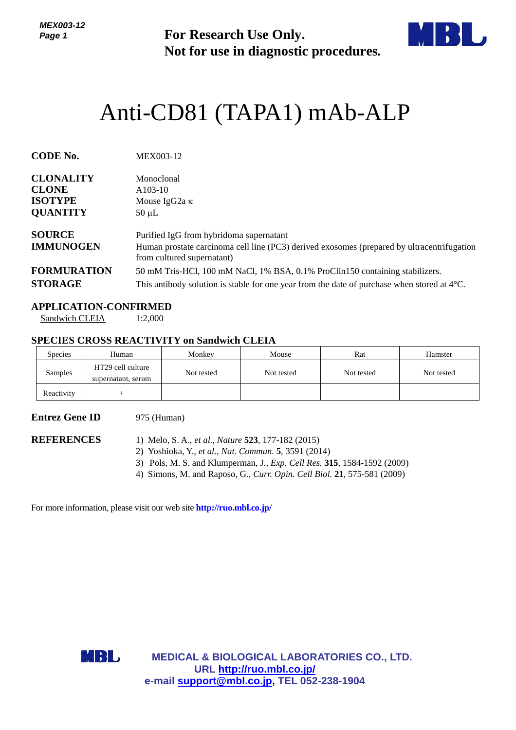*MEX003-12 Page 1*

**For Research Use Only. Not for use in diagnostic procedures.**



# Anti-CD81 (TAPA1) mAb-ALP

| <b>CODE No.</b>                   | MEX003-12                                                                                                                                                           |
|-----------------------------------|---------------------------------------------------------------------------------------------------------------------------------------------------------------------|
| <b>CLONALITY</b>                  | Monoclonal                                                                                                                                                          |
| <b>CLONE</b>                      | $A103-10$                                                                                                                                                           |
| <b>ISOTYPE</b>                    | Mouse IgG2a $\kappa$                                                                                                                                                |
| <b>QUANTITY</b>                   | $50 \mu L$                                                                                                                                                          |
| <b>SOURCE</b><br><b>IMMUNOGEN</b> | Purified IgG from hybridoma supernatant<br>Human prostate carcinoma cell line (PC3) derived exosomes (prepared by ultracentrifugation<br>from cultured supernatant) |
| <b>FORMURATION</b>                | 50 mM Tris-HCl, 100 mM NaCl, 1% BSA, 0.1% ProClin150 containing stabilizers.                                                                                        |
| <b>STORAGE</b>                    | This antibody solution is stable for one year from the date of purchase when stored at $4^{\circ}$ C.                                                               |

## **APPLICATION-CONFIRMED**

Sandwich CLEIA 1:2,000

## **SPECIES CROSS REACTIVITY on Sandwich CLEIA**

| <b>Species</b> | Human                                   | Monkey     | Mouse      | Rat        | Hamster    |
|----------------|-----------------------------------------|------------|------------|------------|------------|
| Samples        | HT29 cell culture<br>supernatant, serum | Not tested | Not tested | Not tested | Not tested |
| Reactivity     |                                         |            |            |            |            |

# **Entrez Gene ID** 975 (Human)

- **REFERENCES** 1) Melo, S. A., *et al., Nature* **523**, 177-182 (2015)
	- 2) Yoshioka, Y., *et al., Nat. Commun.* **5**, 3591 (2014)
	- 3) Pols, M. S. and Klumperman, J., *Exp. Cell Res.* **315**, 1584-1592 (2009)
	- 4) Simons, M. and Raposo, G., *Curr. Opin. Cell Biol.* **21**, 575-581 (2009)

For more information, please visit our web site **<http://ruo.mbl.co.jp/>**



**MEDICAL & BIOLOGICAL LABORATORIES CO., LTD. URL <http://ruo.mbl.co.jp/> e-mail [support@mbl.co.jp,](mailto:support@mbl.co.jp) TEL 052-238-1904**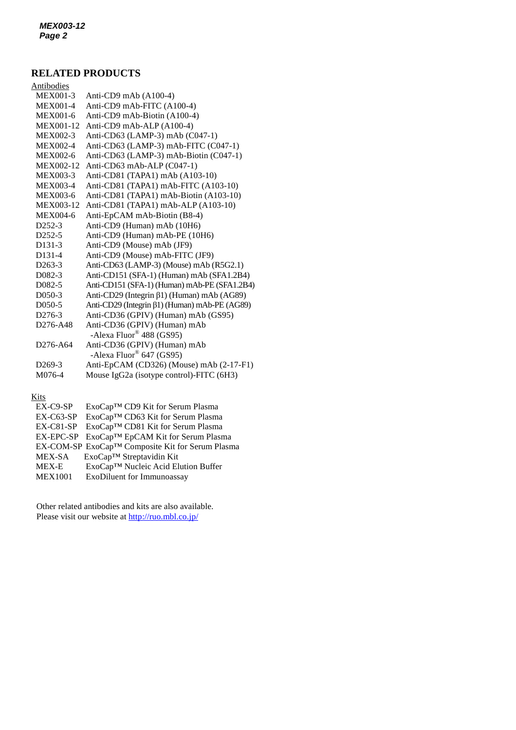# **RELATED PRODUCTS**

| 2008 - 80                         |                                               |
|-----------------------------------|-----------------------------------------------|
| Antibodies                        |                                               |
| <b>MEX001-3</b>                   | Anti-CD9 mAb (A100-4)                         |
| <b>MEX001-4</b>                   | Anti-CD9 mAb-FITC (A100-4)                    |
| MEX001-6                          | Anti-CD9 mAb-Biotin (A100-4)                  |
| MEX001-12                         | Anti-CD9 mAb-ALP (A100-4)                     |
| <b>MEX002-3</b>                   | Anti-CD63 (LAMP-3) mAb (C047-1)               |
| MEX002-4                          | Anti-CD63 (LAMP-3) mAb-FITC (C047-1)          |
| <b>MEX002-6</b>                   | Anti-CD63 (LAMP-3) mAb-Biotin (C047-1)        |
| MEX002-12                         | Anti-CD63 mAb-ALP (C047-1)                    |
| <b>MEX003-3</b>                   | Anti-CD81 (TAPA1) mAb (A103-10)               |
| <b>MEX003-4</b>                   | Anti-CD81 (TAPA1) mAb-FITC (A103-10)          |
| <b>MEX003-6</b>                   | Anti-CD81 (TAPA1) mAb-Biotin (A103-10)        |
| MEX003-12                         | Anti-CD81 (TAPA1) mAb-ALP (A103-10)           |
| <b>MEX004-6</b>                   | Anti-EpCAM mAb-Biotin (B8-4)                  |
| D <sub>252</sub> -3               | Anti-CD9 (Human) mAb (10H6)                   |
| D <sub>252</sub> -5               | Anti-CD9 (Human) mAb-PE (10H6)                |
| D <sub>131</sub> -3               | Anti-CD9 (Mouse) mAb (JF9)                    |
| D131-4                            | Anti-CD9 (Mouse) mAb-FITC (JF9)               |
| $D263-3$                          | Anti-CD63 (LAMP-3) (Mouse) mAb (R5G2.1)       |
| D <sub>0</sub> 82-3               | Anti-CD151 (SFA-1) (Human) mAb (SFA1.2B4)     |
| D <sub>0</sub> 82-5               | Anti-CD151 (SFA-1) (Human) mAb-PE (SFA1.2B4)  |
| D <sub>050</sub> -3               | Anti-CD29 (Integrin β1) (Human) mAb (AG89)    |
| D <sub>050</sub> -5               | Anti-CD29 (Integrin β1) (Human) mAb-PE (AG89) |
| D <sub>276-3</sub>                | Anti-CD36 (GPIV) (Human) mAb (GS95)           |
| D276-A48                          | Anti-CD36 (GPIV) (Human) mAb                  |
|                                   | -Alexa Fluor <sup>®</sup> 488 (GS95)          |
| D <sub>276</sub> -A <sub>64</sub> | Anti-CD36 (GPIV) (Human) mAb                  |
|                                   | -Alexa Fluor <sup>®</sup> 647 (GS95)          |
| D <sub>269</sub> -3               | Anti-EpCAM (CD326) (Mouse) mAb (2-17-F1)      |
| M076-4                            | Mouse IgG2a (isotype control)-FITC (6H3)      |
|                                   |                                               |

#### Kits

| $EX-C9-SP$     | ExoCap™ CD9 Kit for Serum Plasma                 |
|----------------|--------------------------------------------------|
| $EX-C63-SP$    | ExoCap™ CD63 Kit for Serum Plasma                |
| $EX-C81-SP$    | ExoCap™ CD81 Kit for Serum Plasma                |
|                | EX-EPC-SP ExoCap™ EpCAM Kit for Serum Plasma     |
|                | EX-COM-SP ExoCap™ Composite Kit for Serum Plasma |
| MEX-SA         | ExoCap <sup>™</sup> Streptavidin Kit             |
| <b>MEX-E</b>   | ExoCap™ Nucleic Acid Elution Buffer              |
| <b>MEX1001</b> | ExoDiluent for Immunoassay                       |
|                |                                                  |

Other related antibodies and kits are also available. Please visit our website at<http://ruo.mbl.co.jp/>